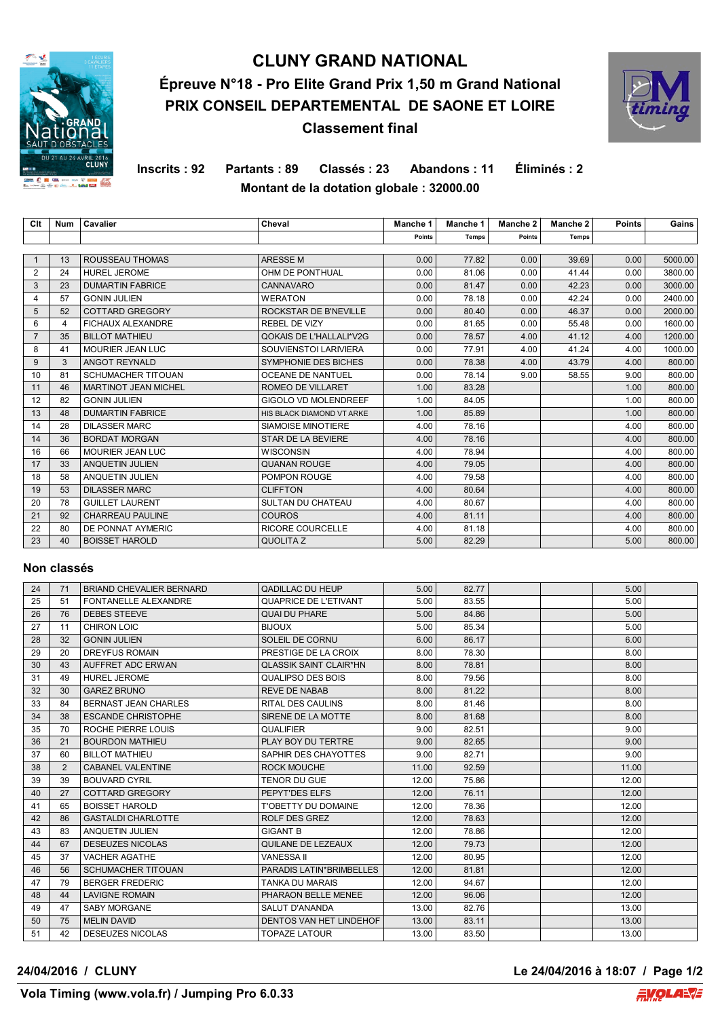

# **CLUNY GRAND NATIONAL Épreuve N°18 - Pro Elite Grand Prix 1,50 m Grand National PRIX CONSEIL DEPARTEMENTAL DE SAONE ET LOIRE Classement final**



**Inscrits : 92 Partants : 89 Classés : 23 Abandons : 11 Éliminés : 2 Montant de la dotation globale : 32000.00**

| Clt            | Num            | Cavalier                    | Cheval                         | Manche 1 | Manche 1 | Manche 2 | Manche 2     | <b>Points</b> | Gains   |
|----------------|----------------|-----------------------------|--------------------------------|----------|----------|----------|--------------|---------------|---------|
|                |                |                             |                                | Points   | Temps    | Points   | <b>Temps</b> |               |         |
|                |                |                             |                                |          |          |          |              |               |         |
|                | 13             | ROUSSEAU THOMAS             | <b>ARESSEM</b>                 | 0.00     | 77.82    | 0.00     | 39.69        | 0.00          | 5000.00 |
| 2              | 24             | <b>HUREL JEROME</b>         | OHM DE PONTHUAL                | 0.00     | 81.06    | 0.00     | 41.44        | 0.00          | 3800.00 |
| 3              | 23             | <b>DUMARTIN FABRICE</b>     | <b>CANNAVARO</b>               | 0.00     | 81.47    | 0.00     | 42.23        | 0.00          | 3000.00 |
| $\overline{4}$ | 57             | <b>GONIN JULIEN</b>         | <b>WERATON</b>                 | 0.00     | 78.18    | 0.00     | 42.24        | 0.00          | 2400.00 |
| 5              | 52             | <b>COTTARD GREGORY</b>      | ROCKSTAR DE B'NEVILLE          | 0.00     | 80.40    | 0.00     | 46.37        | 0.00          | 2000.00 |
| 6              | $\overline{4}$ | <b>FICHAUX ALEXANDRE</b>    | <b>REBEL DE VIZY</b>           | 0.00     | 81.65    | 0.00     | 55.48        | 0.00          | 1600.00 |
| $\overline{7}$ | 35             | <b>BILLOT MATHIEU</b>       | <b>QOKAIS DE L'HALLALI*V2G</b> | 0.00     | 78.57    | 4.00     | 41.12        | 4.00          | 1200.00 |
| 8              | 41             | MOURIER JEAN LUC            | SOUVIENSTOI LARIVIERA          | 0.00     | 77.91    | 4.00     | 41.24        | 4.00          | 1000.00 |
| 9              | 3              | ANGOT REYNALD               | <b>SYMPHONIE DES BICHES</b>    | 0.00     | 78.38    | 4.00     | 43.79        | 4.00          | 800.00  |
| 10             | 81             | <b>SCHUMACHER TITOUAN</b>   | <b>OCEANE DE NANTUEL</b>       | 0.00     | 78.14    | 9.00     | 58.55        | 9.00          | 800.00  |
| 11             | 46             | <b>MARTINOT JEAN MICHEL</b> | ROMEO DE VILLARET              | 1.00     | 83.28    |          |              | 1.00          | 800.00  |
| 12             | 82             | <b>GONIN JULIEN</b>         | GIGOLO VD MOLENDREEF           | 1.00     | 84.05    |          |              | 1.00          | 800.00  |
| 13             | 48             | <b>DUMARTIN FABRICE</b>     | HIS BLACK DIAMOND VT ARKE      | 1.00     | 85.89    |          |              | 1.00          | 800.00  |
| 14             | 28             | <b>DILASSER MARC</b>        | SIAMOISE MINOTIERE             | 4.00     | 78.16    |          |              | 4.00          | 800.00  |
| 14             | 36             | <b>BORDAT MORGAN</b>        | <b>STAR DE LA BEVIERE</b>      | 4.00     | 78.16    |          |              | 4.00          | 800.00  |
| 16             | 66             | <b>MOURIER JEAN LUC</b>     | <b>WISCONSIN</b>               | 4.00     | 78.94    |          |              | 4.00          | 800.00  |
| 17             | 33             | <b>ANQUETIN JULIEN</b>      | <b>QUANAN ROUGE</b>            | 4.00     | 79.05    |          |              | 4.00          | 800.00  |
| 18             | 58             | ANQUETIN JULIEN             | POMPON ROUGE                   | 4.00     | 79.58    |          |              | 4.00          | 800.00  |
| 19             | 53             | <b>DILASSER MARC</b>        | <b>CLIFFTON</b>                | 4.00     | 80.64    |          |              | 4.00          | 800.00  |
| 20             | 78             | <b>GUILLET LAURENT</b>      | <b>SULTAN DU CHATEAU</b>       | 4.00     | 80.67    |          |              | 4.00          | 800.00  |
| 21             | 92             | <b>CHARREAU PAULINE</b>     | <b>COUROS</b>                  | 4.00     | 81.11    |          |              | 4.00          | 800.00  |
| 22             | 80             | DE PONNAT AYMERIC           | <b>RICORE COURCELLE</b>        | 4.00     | 81.18    |          |              | 4.00          | 800.00  |
| 23             | 40             | <b>BOISSET HAROLD</b>       | QUOLITA Z                      | 5.00     | 82.29    |          |              | 5.00          | 800.00  |

## **Non classés**

| 24 | 71 | BRIAND CHEVALIER BERNARD    | <b>QADILLAC DU HEUP</b>       | 5.00  | 82.77 | 5.00  |  |
|----|----|-----------------------------|-------------------------------|-------|-------|-------|--|
| 25 | 51 | FONTANELLE ALEXANDRE        | <b>QUAPRICE DE L'ETIVANT</b>  | 5.00  | 83.55 | 5.00  |  |
| 26 | 76 | <b>DEBES STEEVE</b>         | <b>QUAI DU PHARE</b>          | 5.00  | 84.86 | 5.00  |  |
| 27 | 11 | <b>CHIRON LOIC</b>          | <b>BIJOUX</b>                 | 5.00  | 85.34 | 5.00  |  |
| 28 | 32 | <b>GONIN JULIEN</b>         | SOLEIL DE CORNU               | 6.00  | 86.17 | 6.00  |  |
| 29 | 20 | <b>DREYFUS ROMAIN</b>       | PRESTIGE DE LA CROIX          | 8.00  | 78.30 | 8.00  |  |
| 30 | 43 | AUFFRET ADC ERWAN           | <b>OLASSIK SAINT CLAIR*HN</b> | 8.00  | 78.81 | 8.00  |  |
| 31 | 49 | <b>HUREL JEROME</b>         | QUALIPSO DES BOIS             | 8.00  | 79.56 | 8.00  |  |
| 32 | 30 | <b>GAREZ BRUNO</b>          | <b>REVE DE NABAB</b>          | 8.00  | 81.22 | 8.00  |  |
| 33 | 84 | <b>BERNAST JEAN CHARLES</b> | <b>RITAL DES CAULINS</b>      | 8.00  | 81.46 | 8.00  |  |
| 34 | 38 | <b>ESCANDE CHRISTOPHE</b>   | SIRENE DE LA MOTTE            | 8.00  | 81.68 | 8.00  |  |
| 35 | 70 | ROCHE PIERRE LOUIS          | <b>QUALIFIER</b>              | 9.00  | 82.51 | 9.00  |  |
| 36 | 21 | <b>BOURDON MATHIEU</b>      | PLAY BOY DU TERTRE            | 9.00  | 82.65 | 9.00  |  |
| 37 | 60 | <b>BILLOT MATHIEU</b>       | SAPHIR DES CHAYOTTES          | 9.00  | 82.71 | 9.00  |  |
| 38 | 2  | <b>CABANEL VALENTINE</b>    | <b>ROCK MOUCHE</b>            | 11.00 | 92.59 | 11.00 |  |
| 39 | 39 | <b>BOUVARD CYRIL</b>        | <b>TENOR DU GUE</b>           | 12.00 | 75.86 | 12.00 |  |
| 40 | 27 | COTTARD GREGORY             | PEPYT'DES ELFS                | 12.00 | 76.11 | 12.00 |  |
| 41 | 65 | <b>BOISSET HAROLD</b>       | <b>T'OBETTY DU DOMAINE</b>    | 12.00 | 78.36 | 12.00 |  |
| 42 | 86 | <b>GASTALDI CHARLOTTE</b>   | <b>ROLF DES GREZ</b>          | 12.00 | 78.63 | 12.00 |  |
| 43 | 83 | ANQUETIN JULIEN             | <b>GIGANT B</b>               | 12.00 | 78.86 | 12.00 |  |
| 44 | 67 | <b>DESEUZES NICOLAS</b>     | QUILANE DE LEZEAUX            | 12.00 | 79.73 | 12.00 |  |
| 45 | 37 | <b>VACHER AGATHE</b>        | <b>VANESSA II</b>             | 12.00 | 80.95 | 12.00 |  |
| 46 | 56 | <b>SCHUMACHER TITOUAN</b>   | PARADIS LATIN*BRIMBELLES      | 12.00 | 81.81 | 12.00 |  |
| 47 | 79 | <b>BERGER FREDERIC</b>      | <b>TANKA DU MARAIS</b>        | 12.00 | 94.67 | 12.00 |  |
| 48 | 44 | <b>LAVIGNE ROMAIN</b>       | PHARAON BELLE MENEE           | 12.00 | 96.06 | 12.00 |  |
| 49 | 47 | <b>SABY MORGANE</b>         | <b>SALUT D'ANANDA</b>         | 13.00 | 82.76 | 13.00 |  |
| 50 | 75 | <b>MELIN DAVID</b>          | DENTOS VAN HET LINDEHOF       | 13.00 | 83.11 | 13.00 |  |
| 51 | 42 | <b>DESEUZES NICOLAS</b>     | <b>TOPAZE LATOUR</b>          | 13.00 | 83.50 | 13.00 |  |

**24/04/2016 / CLUNY Le 24/04/2016 à 18:07 / Page 1/2**